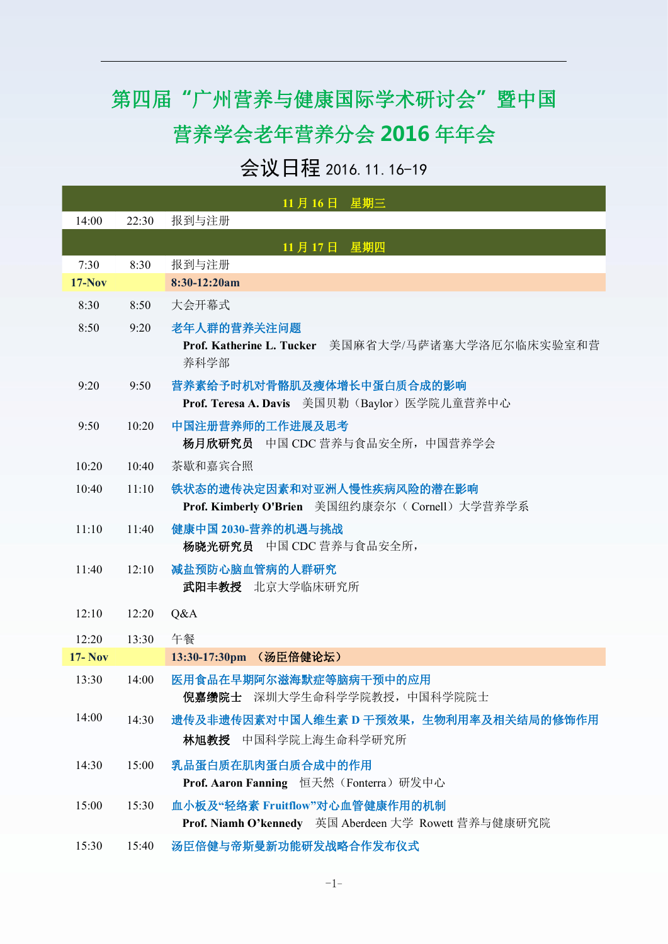## 第四届**"**广州营养与健康国际学术研讨会**"**暨中国 营养学会老年营养分会 **2016** 年年会

## 会议日程 2016.11.16-19

|               |       | 11月16日 星期三                                                                                            |
|---------------|-------|-------------------------------------------------------------------------------------------------------|
| 14:00         | 22:30 | 报到与注册                                                                                                 |
|               |       | 11月17日 星期四                                                                                            |
| 7:30          | 8:30  | 报到与注册                                                                                                 |
| $17-Nov$      |       | 8:30-12:20am                                                                                          |
| 8:30          | 8:50  | 大会开幕式                                                                                                 |
| 8:50          | 9:20  | 老年人群的营养关注问题<br>Prof. Katherine L. Tucker 美国麻省大学/马萨诸塞大学洛厄尔临床实验室和营<br>养科学部                              |
| 9:20          | 9:50  | 营养素给予时机对骨骼肌及瘦体增长中蛋白质合成的影响                                                                             |
| 9:50          | 10:20 | Prof. Teresa A. Davis 美国贝勒 (Baylor) 医学院儿童营养中心<br>中国注册营养师的工作进展及思考<br>中国 CDC 营养与食品安全所, 中国营养学会<br>杨月欣研究员 |
| 10:20         | 10:40 | 茶歇和嘉宾合照                                                                                               |
| 10:40         | 11:10 | 铁状态的遗传决定因素和对亚洲人慢性疾病风险的潜在影响<br>Prof. Kimberly O'Brien 美国纽约康奈尔(Cornell) 大学营养学系                          |
| 11:10         | 11:40 | 健康中国 2030-营养的机遇与挑战<br>杨晓光研究员 中国 CDC 营养与食品安全所,                                                         |
| 11:40         | 12:10 | 减盐预防心脑血管病的人群研究<br>武阳丰教授 北京大学临床研究所                                                                     |
| 12:10         | 12:20 | Q&A                                                                                                   |
| 12:20         | 13:30 | 午餐                                                                                                    |
| <b>17-Nov</b> |       | 13:30-17:30pm (汤臣倍健论坛)                                                                                |
| 13:30         | 14:00 | 医用食品在早期阿尔滋海默症等脑病干预中的应用<br>倪嘉缵院士 深圳大学生命科学学院教授, 中国科学院院士                                                 |
| 14:00         | 14:30 | 遗传及非遗传因素对中国人维生素 D 干预效果, 生物利用率及相关结局的修饰作用<br>林旭教授 中国科学院上海生命科学研究所                                        |
| 14:30         | 15:00 | 乳品蛋白质在肌肉蛋白质合成中的作用<br>Prof. Aaron Fanning 恒天然 (Fonterra) 研发中心                                          |
| 15:00         | 15:30 | 血小板及"轻络素 Fruitflow"对心血管健康作用的机制<br>Prof. Niamh O'kennedy 英国 Aberdeen 大学 Rowett 营养与健康研究院                |
| 15:30         | 15:40 | 汤臣倍健与帝斯曼新功能研发战略合作发布仪式                                                                                 |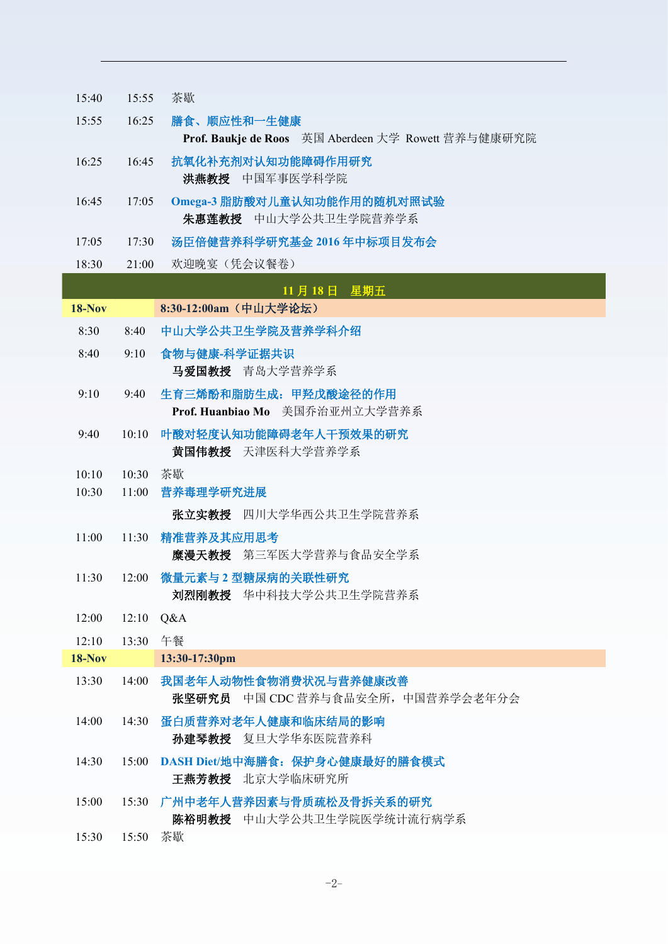| 15:40         | 15:55       | 茶歇                                                                 |
|---------------|-------------|--------------------------------------------------------------------|
| 15:55         | 16:25       | 膳食、顺应性和一生健康<br>Prof. Baukje de Roos 英国 Aberdeen 大学 Rowett 营养与健康研究院 |
| 16:25         | 16:45       | 抗氧化补充剂对认知功能障碍作用研究<br>洪燕教授 中国军事医学科学院                                |
| 16:45         | 17:05       | Omega-3 脂肪酸对儿童认知功能作用的随机对照试验<br>朱惠莲教授 中山大学公共卫生学院营养学系                |
| 17:05         | 17:30       | 汤臣倍健营养科学研究基金 2016 年中标项目发布会                                         |
| 18:30         | 21:00       | 欢迎晚宴 (凭会议餐卷)                                                       |
|               |             | 11月18日 星期五                                                         |
| <b>18-Nov</b> |             | 8:30-12:00am (中山大学论坛)                                              |
| 8:30          | 8:40        | 中山大学公共卫生学院及营养学科介绍                                                  |
| 8:40          | 9:10        | 食物与健康-科学证据共识<br>马爱国教授 青岛大学营养学系                                     |
| 9:10          | 9:40        | 生育三烯酚和脂肪生成: 甲羟戊酸途径的作用<br>Prof. Huanbiao Mo 美国乔治亚州立大学营养系            |
| 9:40          | 10:10       | 叶酸对轻度认知功能障碍老年人干预效果的研究<br>黄国伟教授 天津医科大学营养学系                          |
| 10:10         | 10:30       | 茶歇                                                                 |
| 10:30         | 11:00       | 营养毒理学研究进展                                                          |
|               |             | 张立实教授 四川大学华西公共卫生学院营养系                                              |
| 11:00         | 11:30       | 精准营养及其应用思考                                                         |
|               |             | 糜漫天教授 第三军医大学营养与食品安全学系                                              |
| 11:30         | 12:00       | 微量元素与2型糖尿病的关联性研究<br>刘烈刚教授 华中科技大学公共卫生学院营养系                          |
| 12:00         | $12:10$ Q&A |                                                                    |
| 12:10         | 13:30 午餐    |                                                                    |
| <b>18-Nov</b> |             | 13:30-17:30pm                                                      |
| 13:30         | 14:00       | 我国老年人动物性食物消费状况与营养健康改善<br>张坚研究员 中国 CDC 营养与食品安全所, 中国营养学会老年分会         |
| 14:00         | 14:30       | 蛋白质营养对老年人健康和临床结局的影响<br>孙建琴教授 复旦大学华东医院营养科                           |
| 14:30         | 15:00       | DASH Diet/地中海膳食: 保护身心健康最好的膳食模式<br>王燕芳教授 北京大学临床研究所                  |
| 15:00         | 15:30       | 广州中老年人营养因素与骨质疏松及骨拆关系的研究<br>陈裕明教授 中山大学公共卫生学院医学统计流行病学系               |
| 15:30         | 15:50 茶歇    |                                                                    |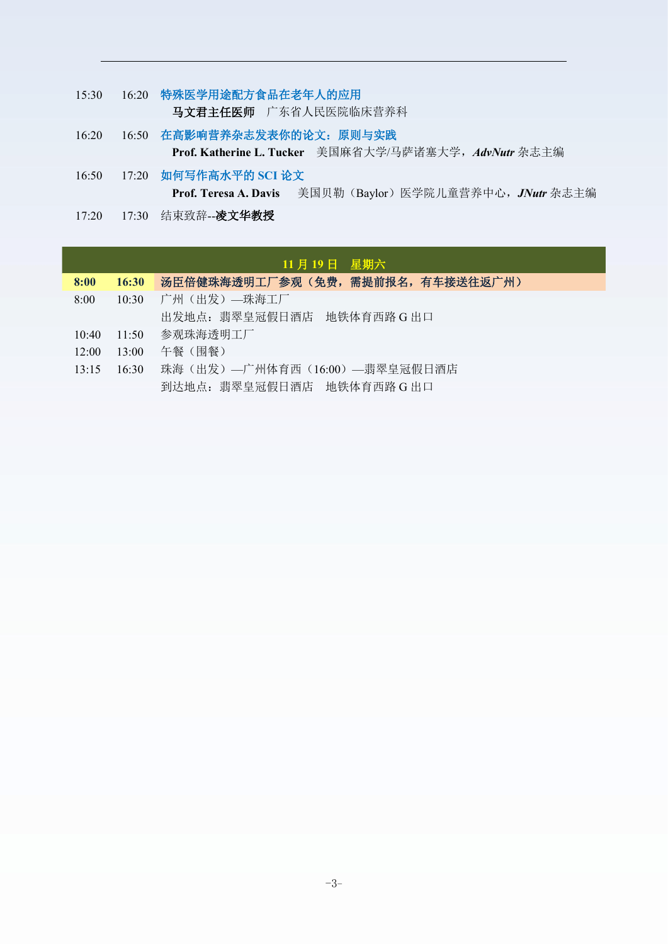- 15:30 16:20 特殊医学用途配方食品在老年人的应用 马文君主任医师 广东省人民医院临床营养科
- 16:20 16:50 在高影响营养杂志发表你的论文:原则与实践 **Prof. Katherine L. Tucker** 美国麻省大学/马萨诸塞大学,*AdvNutr* 杂志主编
- 16:50 17:20 如何写作高水平的 **SCI** 论文 **Prof. Teresa A. Davis** 美国贝勒(Baylor)医学院儿童营养中心,*JNutr* 杂志主编
- 17:20 17:30 结束致辞--凌文华教授

|       |       | 11月19日 星期六                      |
|-------|-------|---------------------------------|
| 8:00  | 16:30 | 汤臣倍健珠海透明工厂参观(免费,需提前报名,有车接送往返广州) |
| 8:00  | 10:30 | 广州(出发)—珠海工厂                     |
|       |       | 出发地点: 翡翠皇冠假日酒店 地铁体育西路 G 出口      |
| 10:40 | 11:50 | 参观珠海透明工厂                        |
| 12:00 | 13:00 | 午餐 (围餐)                         |
| 13:15 | 16:30 | 珠海(出发)—广州体育西(16:00)—翡翠皇冠假日酒店    |
|       |       | 到达地点: 翡翠皇冠假日酒店 地铁体育西路 G 出口      |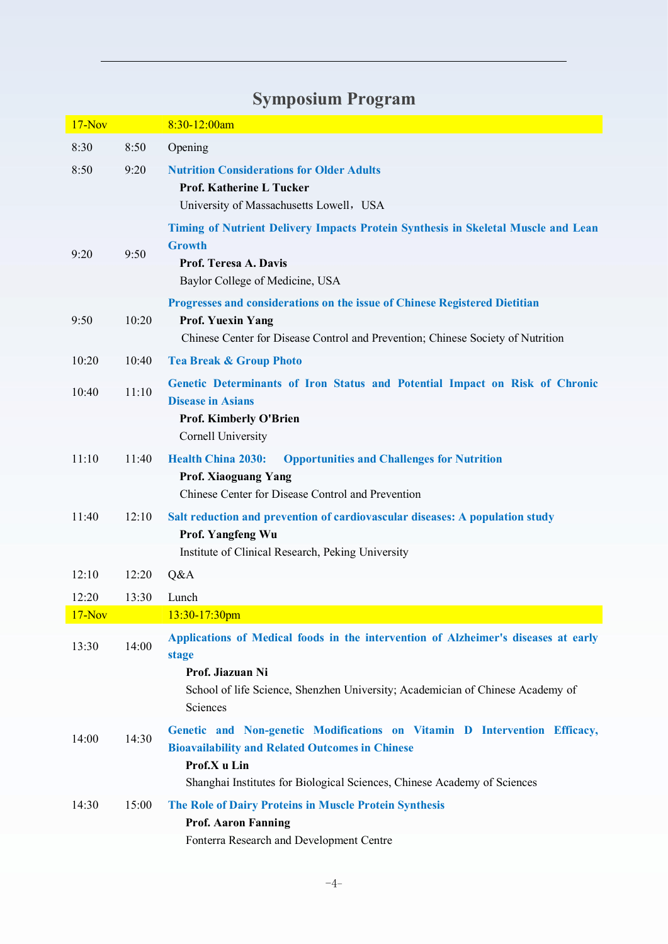| $17-Nov$ |       | 8:30-12:00am                                                                                                                        |
|----------|-------|-------------------------------------------------------------------------------------------------------------------------------------|
| 8:30     | 8:50  | Opening                                                                                                                             |
| 8:50     | 9:20  | <b>Nutrition Considerations for Older Adults</b>                                                                                    |
|          |       | <b>Prof. Katherine L Tucker</b>                                                                                                     |
|          |       | University of Massachusetts Lowell, USA                                                                                             |
|          |       | Timing of Nutrient Delivery Impacts Protein Synthesis in Skeletal Muscle and Lean<br><b>Growth</b>                                  |
| 9:20     | 9:50  | Prof. Teresa A. Davis                                                                                                               |
|          |       | Baylor College of Medicine, USA                                                                                                     |
|          |       | Progresses and considerations on the issue of Chinese Registered Dietitian                                                          |
| 9:50     | 10:20 | <b>Prof. Yuexin Yang</b><br>Chinese Center for Disease Control and Prevention; Chinese Society of Nutrition                         |
| 10:20    | 10:40 | <b>Tea Break &amp; Group Photo</b>                                                                                                  |
|          |       | Genetic Determinants of Iron Status and Potential Impact on Risk of Chronic                                                         |
| 10:40    | 11:10 | <b>Disease in Asians</b>                                                                                                            |
|          |       | <b>Prof. Kimberly O'Brien</b>                                                                                                       |
|          |       | Cornell University                                                                                                                  |
| 11:10    | 11:40 | <b>Health China 2030:</b><br><b>Opportunities and Challenges for Nutrition</b><br><b>Prof. Xiaoguang Yang</b>                       |
|          |       | Chinese Center for Disease Control and Prevention                                                                                   |
| 11:40    | 12:10 | Salt reduction and prevention of cardiovascular diseases: A population study                                                        |
|          |       | Prof. Yangfeng Wu                                                                                                                   |
|          |       | Institute of Clinical Research, Peking University                                                                                   |
| 12:10    | 12:20 | Q&A                                                                                                                                 |
| 12:20    | 13:30 | Lunch                                                                                                                               |
| $17-Nov$ |       | 13:30-17:30pm                                                                                                                       |
| 13:30    | 14:00 | Applications of Medical foods in the intervention of Alzheimer's diseases at early<br>stage                                         |
|          |       | Prof. Jiazuan Ni                                                                                                                    |
|          |       | School of life Science, Shenzhen University; Academician of Chinese Academy of                                                      |
|          |       | Sciences                                                                                                                            |
| 14:00    | 14:30 | Genetic and Non-genetic Modifications on Vitamin D Intervention Efficacy,<br><b>Bioavailability and Related Outcomes in Chinese</b> |
|          |       | Prof.X u Lin                                                                                                                        |
|          |       | Shanghai Institutes for Biological Sciences, Chinese Academy of Sciences                                                            |
| 14:30    | 15:00 | The Role of Dairy Proteins in Muscle Protein Synthesis                                                                              |
|          |       | <b>Prof. Aaron Fanning</b>                                                                                                          |
|          |       | Fonterra Research and Development Centre                                                                                            |

## **Symposium [Program](javascript:void(0);)**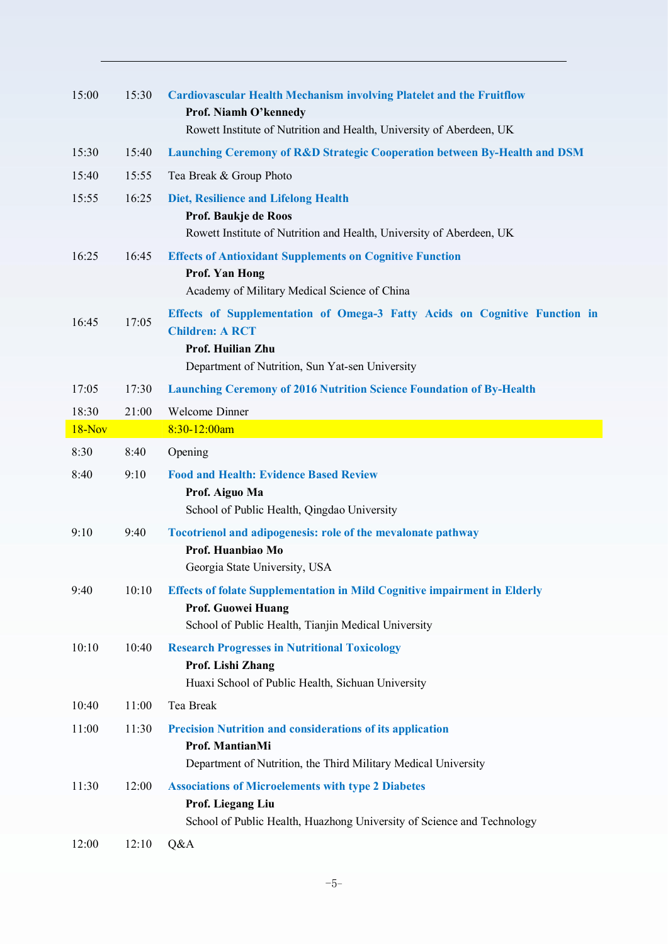| 15:00  | 15:30 | <b>Cardiovascular Health Mechanism involving Platelet and the Fruitflow</b><br>Prof. Niamh O'kennedy<br>Rowett Institute of Nutrition and Health, University of Aberdeen, UK |  |
|--------|-------|------------------------------------------------------------------------------------------------------------------------------------------------------------------------------|--|
| 15:30  | 15:40 | <b>Launching Ceremony of R&amp;D Strategic Cooperation between By-Health and DSM</b>                                                                                         |  |
| 15:40  | 15:55 | Tea Break & Group Photo                                                                                                                                                      |  |
| 15:55  | 16:25 | <b>Diet, Resilience and Lifelong Health</b>                                                                                                                                  |  |
|        |       | Prof. Baukje de Roos<br>Rowett Institute of Nutrition and Health, University of Aberdeen, UK                                                                                 |  |
| 16:25  | 16:45 | <b>Effects of Antioxidant Supplements on Cognitive Function</b>                                                                                                              |  |
|        |       | <b>Prof. Yan Hong</b><br>Academy of Military Medical Science of China                                                                                                        |  |
| 16:45  | 17:05 | Effects of Supplementation of Omega-3 Fatty Acids on Cognitive Function in<br><b>Children: A RCT</b><br>Prof. Huilian Zhu                                                    |  |
|        |       | Department of Nutrition, Sun Yat-sen University                                                                                                                              |  |
| 17:05  | 17:30 | <b>Launching Ceremony of 2016 Nutrition Science Foundation of By-Health</b>                                                                                                  |  |
| 18:30  | 21:00 | Welcome Dinner                                                                                                                                                               |  |
| 18-Nov |       | 8:30-12:00am                                                                                                                                                                 |  |
| 8:30   | 8:40  | Opening                                                                                                                                                                      |  |
| 8:40   | 9:10  | <b>Food and Health: Evidence Based Review</b><br>Prof. Aiguo Ma<br>School of Public Health, Qingdao University                                                               |  |
| 9:10   | 9:40  | Tocotrienol and adipogenesis: role of the mevalonate pathway                                                                                                                 |  |
|        |       | Prof. Huanbiao Mo<br>Georgia State University, USA                                                                                                                           |  |
| 9:40   |       | 10:10 Effects of folate Supplementation in Mild Cognitive impairment in Elderly<br>Prof. Guowei Huang<br>School of Public Health, Tianjin Medical University                 |  |
| 10:10  | 10:40 | <b>Research Progresses in Nutritional Toxicology</b><br>Prof. Lishi Zhang<br>Huaxi School of Public Health, Sichuan University                                               |  |
| 10:40  | 11:00 | Tea Break                                                                                                                                                                    |  |
|        |       |                                                                                                                                                                              |  |
| 11:00  | 11:30 | <b>Precision Nutrition and considerations of its application</b><br>Prof. MantianMi<br>Department of Nutrition, the Third Military Medical University                        |  |
| 11:30  | 12:00 | <b>Associations of Microelements with type 2 Diabetes</b><br>Prof. Liegang Liu                                                                                               |  |
| 12:00  | 12:10 | School of Public Health, Huazhong University of Science and Technology<br>Q&A                                                                                                |  |